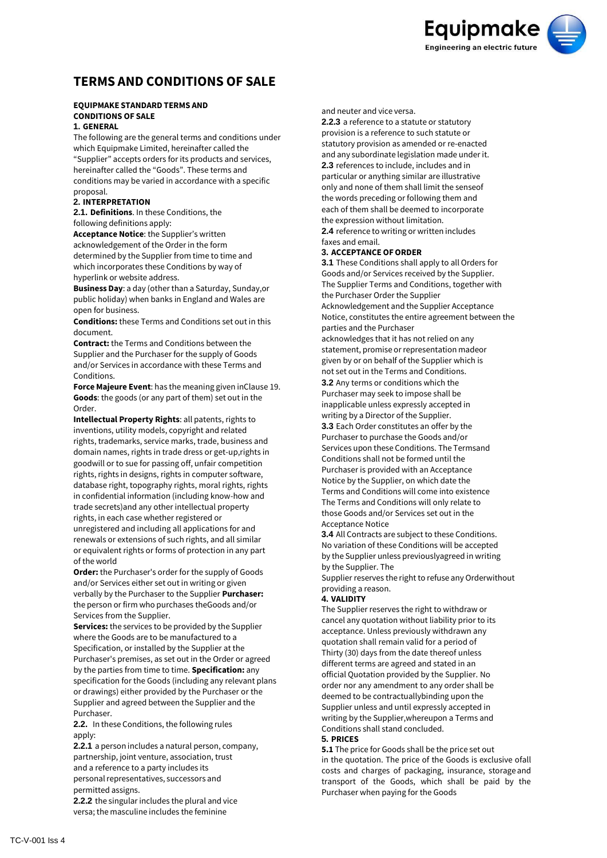**Equipmake Engineering an electric future** 

# **TERMS AND CONDITIONS OF SALE**

## **EQUIPMAKE STANDARD TERMS AND CONDITIONS OF SALE**

## **1. GENERAL**

The following are the general terms and conditions under which Equipmake Limited, hereinafter called the "Supplier" accepts orders for its products and services, hereinafter called the "Goods". These terms and conditions may be varied in accordance with a specific proposal.

## **2. INTERPRETATION**

**2.1. Definitions**. In these Conditions, the following definitions apply:

**Acceptance Notice**: the Supplier's written acknowledgement of the Order in the form determined by the Supplier from time to time and which incorporates these Conditions by way of hyperlink or website address.

**Business Day**: a day (other than a Saturday, Sunday,or public holiday) when banks in England and Wales are open for business.

**Conditions:** these Terms and Conditions set out in this document.

**Contract:** the Terms and Conditions between the Supplier and the Purchaser for the supply of Goods and/or Services in accordance with these Terms and Conditions.

**Force Majeure Event**: has the meaning given inClause 19. **Goods**: the goods (or any part of them) set out in the Order.

**Intellectual Property Rights**: all patents, rights to inventions, utility models, copyright and related rights, trademarks, service marks, trade, business and domain names, rights in trade dress or get-up,rights in goodwill or to sue for passing off, unfair competition rights, rights in designs, rights in computer software, database right, topography rights, moral rights, rights in confidential information (including know-how and trade secrets)and any other intellectual property rights, in each case whether registered or unregistered and including all applications for and

renewals or extensions of such rights, and all similar or equivalent rights or forms of protection in any part of the world

**Order:** the Purchaser's order for the supply of Goods and/or Services either set out in writing or given verbally by the Purchaser to the Supplier **Purchaser:** the person or firm who purchases theGoods and/or Services from the Supplier.

**Services:** the services to be provided by the Supplier where the Goods are to be manufactured to a Specification, or installed by the Supplier at the Purchaser's premises, as set out in the Order or agreed by the parties from time to time. **Specification:** any specification for the Goods (including any relevant plans or drawings) either provided by the Purchaser or the Supplier and agreed between the Supplier and the Purchaser.

**2.2.** In these Conditions, the following rules apply:

**2.2.1** a person includes a natural person, company, partnership, joint venture, association, trust and a reference to a party includes its personal representatives, successors and permitted assigns.

**2.2.2** the singular includes the plural and vice versa; the masculine includes the feminine

and neuter and vice versa.

**2.2.3** a reference to a statute or statutory provision is a reference to such statute or statutory provision as amended or re-enacted and any subordinate legislation made under it. **2.3** references to include, includes and in particular or anything similar are illustrative only and none of them shall limit the senseof the words preceding or following them and each of them shall be deemed to incorporate the expression without limitation.

**2.4** reference to writing or written includes faxes and email.

## **3. ACCEPTANCE OFORDER**

**3.1** These Conditions shall apply to all Orders for Goods and/or Services received by the Supplier. The Supplier Terms and Conditions, together with the Purchaser Order the Supplier

Acknowledgement and the Supplier Acceptance Notice, constitutes the entire agreement between the parties and the Purchaser

acknowledges that it has not relied on any statement, promise or representation madeor given by or on behalf of the Supplier which is not set out in the Terms and Conditions.

**3.2** Any terms or conditions which the Purchaser may seek to impose shall be inapplicable unless expressly accepted in writing by a Director of the Supplier.

**3.3** Each Order constitutes an offer by the Purchaser to purchase the Goods and/or Services upon these Conditions. The Termsand Conditions shall not be formed until the Purchaser is provided with an Acceptance Notice by the Supplier, on which date the Terms and Conditions will come into existence The Terms and Conditions will only relate to those Goods and/or Services set out in the Acceptance Notice

**3.4** All Contracts are subject to these Conditions. No variation of these Conditions will be accepted by the Supplier unless previouslyagreed in writing by the Supplier. The

Supplier reserves the right to refuse any Orderwithout providing a reason.

#### **4. VALIDITY**

The Supplier reserves the right to withdraw or cancel any quotation without liability prior to its acceptance. Unless previously withdrawn any quotation shall remain valid for a period of Thirty (30) days from the date thereof unless different terms are agreed and stated in an official Quotation provided by the Supplier. No order nor any amendment to any order shall be deemed to be contractuallybinding upon the Supplier unless and until expressly accepted in writing by the Supplier,whereupon a Terms and Conditions shall stand concluded.

## **5. PRICES**

**5.1** The price for Goods shall be the price set out in the quotation. The price of the Goods is exclusive ofall costs and charges of packaging, insurance, storage and transport of the Goods, which shall be paid by the Purchaser when paying for the Goods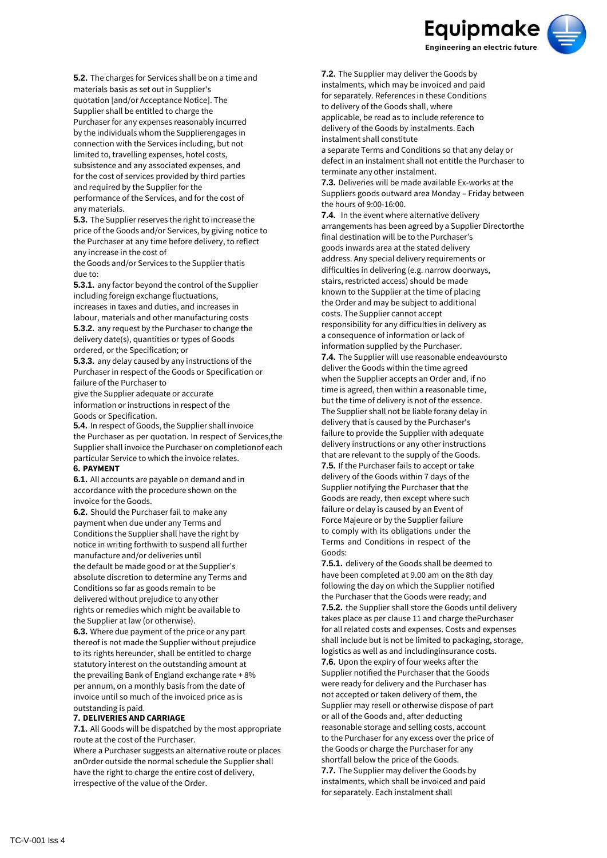

**5.2.** The charges for Services shall be on a time and materials basis as set out in Supplier's quotation [and/or Acceptance Notice]. The Supplier shall be entitled to charge the Purchaser for any expenses reasonably incurred by the individuals whom the Supplierengages in connection with the Services including, but not limited to, travelling expenses, hotel costs, subsistence and any associated expenses, and for the cost of services provided by third parties and required by the Supplier for the performance of the Services, and for the cost of any materials.

**5.3.** The Supplier reserves the right to increase the price of the Goods and/or Services, by giving notice to the Purchaser at any time before delivery, to reflect any increase in the cost of

the Goods and/or Services to the Supplier thatis due to:

**5.3.1.** any factor beyond the control of the Supplier including foreign exchange fluctuations, increases in taxes and duties, and increases in labour, materials and other manufacturing costs

**5.3.2.** any request by the Purchaser to change the delivery date(s), quantities or types of Goods ordered, or the Specification; or

**5.3.3.** any delay caused by any instructions of the Purchaser in respect of the Goods or Specification or failure of the Purchaser to

give the Supplier adequate or accurate information or instructions in respect of the Goods or Specification.

**5.4.** In respect of Goods, the Supplier shall invoice the Purchaser as per quotation. In respect of Services,the Supplier shall invoice the Purchaser on completionof each particular Service to which the invoice relates.

#### **6. PAYMENT**

**6.1.** All accounts are payable on demand and in accordance with the procedure shown on the invoice for the Goods.

**6.2.** Should the Purchaser fail to make any payment when due under any Terms and Conditions the Supplier shall have the right by notice in writing forthwith to suspend all further manufacture and/or deliveries until the default be made good or at the Supplier's absolute discretion to determine any Terms and Conditions so far as goods remain to be delivered without prejudice to any other rights or remedies which might be available to the Supplier at law (or otherwise).

**6.3.** Where due payment of the price or any part thereof is not made the Supplier without prejudice to its rights hereunder, shall be entitled to charge statutory interest on the outstanding amount at the prevailing Bank of England exchange rate + 8% per annum, on a monthly basis from the date of invoice until so much of the invoiced price as is outstanding is paid.

#### **7. DELIVERIES AND CARRIAGE**

**7.1.** All Goods will be dispatched by the most appropriate route at the cost of the Purchaser.

Where a Purchaser suggests an alternative route or places an Order outside the normal schedule the Supplier shall have the right to charge the entire cost of delivery, irrespective of the value of the Order.

**7.2.** The Supplier may deliver the Goods by instalments, which may be invoiced and paid for separately. References in these Conditions to delivery of the Goods shall, where applicable, be read as to include reference to delivery of the Goods by instalments. Each instalment shall constitute

a separate Terms and Conditions so that any delay or defect in an instalment shall not entitle the Purchaser to terminate any other instalment.

**7.3.** Deliveries will be made available Ex-works at the Suppliers goods outward area Monday – Friday between the hours of 9:00-16:00.

**7.4.** In the event where alternative delivery arrangements has been agreed by a Supplier Directorthe final destination will be to the Purchaser's goods inwards area at the stated delivery address. Any special delivery requirements or difficulties in delivering (e.g. narrow doorways, stairs, restricted access) should be made known to the Supplier at the time of placing the Order and may be subject to additional costs. The Supplier cannot accept responsibility for any difficulties in delivery as a consequence of information or lack of information supplied by the Purchaser. **7.4.** The Supplier will use reasonable endeavoursto deliver the Goods within the time agreed when the Supplier accepts an Order and, if no time is agreed, then within a reasonable time, but the time of delivery is not of the essence. The Supplier shall not be liable forany delay in delivery that is caused by the Purchaser's failure to provide the Supplier with adequate delivery instructions or any other instructions that are relevant to the supply of the Goods. **7.5.** If the Purchaser fails to accept or take delivery of the Goods within 7 days of the Supplier notifying the Purchaser that the Goods are ready, then except where such failure or delay is caused by an Event of Force Majeure or by the Supplier failure to comply with its obligations under the Terms and Conditions in respect of the Goods:

**7.5.1.** delivery of the Goods shall be deemed to have been completed at 9.00 am on the 8th day following the day on which the Supplier notified the Purchaser that the Goods were ready; and **7.5.2.** the Supplier shall store the Goods until delivery takes place as per clause 11 and charge thePurchaser for all related costs and expenses. Costs and expenses shall include but is not be limited to packaging, storage, logistics as well as and includinginsurance costs. **7.6.** Upon the expiry of four weeks after the Supplier notified the Purchaser that the Goods were ready for delivery and the Purchaser has not accepted or taken delivery of them, the Supplier may resell or otherwise dispose of part or all of the Goods and, after deducting reasonable storage and selling costs, account to the Purchaser for any excess over the price of the Goods or charge the Purchaser for any shortfall below the price of the Goods. **7.7.** The Supplier may deliver the Goods by instalments, which shall be invoiced and paid for separately. Each instalment shall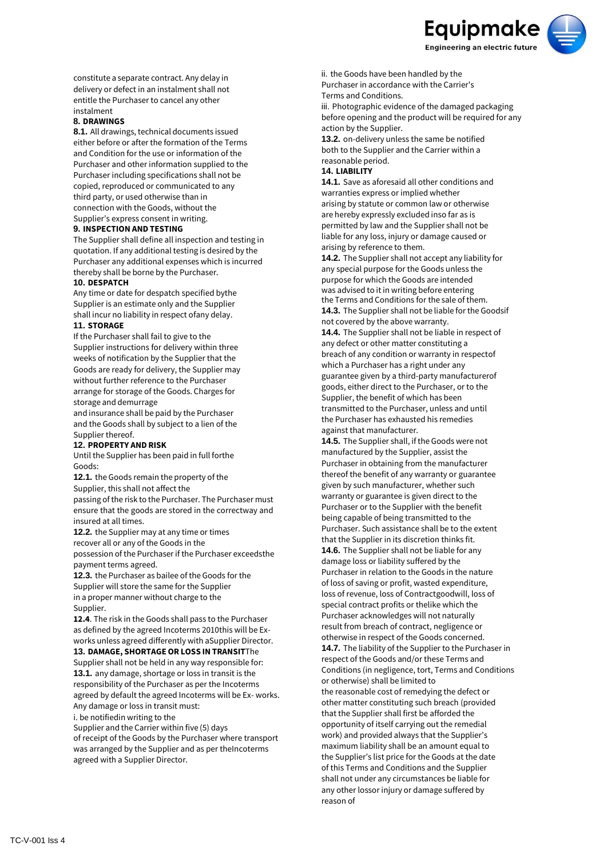

constitute a separate contract. Any delay in delivery or defect in an instalment shall not entitle the Purchaser to cancel any other instalment

#### **8. DRAWINGS**

**8.1.** All drawings, technical documents issued either before or after the formation of the Terms and Condition for the use or information of the Purchaser and other information supplied to the Purchaser including specifications shall not be copied, reproduced or communicated to any third party, or used otherwise than in connection with the Goods, without the Supplier's express consent in writing.

## **9. INSPECTION AND TESTING**

The Supplier shall define all inspection and testing in quotation. If any additional testing is desired by the Purchaser any additional expenses which is incurred thereby shall be borne by the Purchaser.

#### **10. DESPATCH**

Any time or date for despatch specified bythe Supplier is an estimate only and the Supplier shall incur no liability in respect ofany delay.

## **11. STORAGE**

If the Purchaser shall fail to give to the Supplier instructions for delivery within three weeks of notification by the Supplier that the Goods are ready for delivery, the Supplier may without further reference to the Purchaser arrange for storage of the Goods. Charges for storage and demurrage

and insurance shall be paid by the Purchaser and the Goods shall by subject to a lien of the Supplier thereof.

#### **12. PROPERTY AND RISK**

Until the Supplier has been paid in full forthe Goods:

**12.1.** the Goods remain the property of the Supplier, this shall not affect the passing of the risk to the Purchaser. The Purchaser must ensure that the goods are stored in the correctway and

insured at all times. **12.2.** the Supplier may at any time or times recover all or any of the Goods in the possession of the Purchaser if the Purchaser exceedsthe

payment terms agreed. **12.3.** the Purchaser as bailee of the Goods for the

Supplier will store the same for the Supplier in a proper manner without charge to the Supplier.

**12.4**. The risk in the Goods shall pass to the Purchaser as defined by the agreed Incoterms 2010this will be Exworks unless agreed differently with aSupplier Director.

#### **13. DAMAGE, SHORTAGE OR LOSS INTRANSIT**The Supplier shall not be held in any way responsible for:

**13.1.** any damage, shortage or loss in transit is the responsibility of the Purchaser as per the Incoterms agreed by default the agreed Incoterms will be Ex- works. Any damage or loss in transit must:

i. be notifiedin writing to the

Supplier and the Carrier within five (5) days of receipt of the Goods by the Purchaser where transport was arranged by the Supplier and as per theIncoterms agreed with a Supplier Director.

ii. the Goods have been handled by the Purchaser in accordance with the Carrier's Terms and Conditions.

iii. Photographic evidence of the damaged packaging before opening and the product will be required for any action by the Supplier.

**13.2.** on-delivery unless the same be notified both to the Supplier and the Carrier within a reasonable period.

## **14. LIABILITY**

**14.1.** Save as aforesaid all other conditions and warranties express or implied whether arising by statute or common law or otherwise are hereby expressly excluded inso far as is permitted by law and the Supplier shall not be liable for any loss, injury or damage caused or arising by reference to them.

**14.2.** The Supplier shall not accept any liability for any special purpose for the Goods unless the purpose for which the Goods are intended was advised to it in writing before entering the Terms and Conditions for the sale of them. **14.3.** The Supplier shall not be liable for the Goodsif not covered by the above warranty.

**14.4.** The Supplier shall not be liable in respect of any defect or other matter constituting a breach of any condition or warranty in respectof which a Purchaser has a right under any guarantee given by a third-party manufacturerof goods, either direct to the Purchaser, or to the Supplier, the benefit of which has been transmitted to the Purchaser, unless and until the Purchaser has exhausted his remedies against that manufacturer.

**14.5.** The Supplier shall, if the Goods were not manufactured by the Supplier, assist the Purchaser in obtaining from the manufacturer thereof the benefit of any warranty or guarantee given by such manufacturer, whether such warranty or guarantee is given direct to the Purchaser or to the Supplier with the benefit being capable of being transmitted to the Purchaser. Such assistance shall be to the extent that the Supplier in its discretion thinks fit. **14.6.** The Supplier shall not be liable for any damage loss or liability suffered by the Purchaser in relation to the Goods in the nature of loss of saving or profit, wasted expenditure, loss of revenue, loss of Contractgoodwill, loss of special contract profits or thelike which the Purchaser acknowledges will not naturally result from breach of contract, negligence or otherwise in respect of the Goods concerned. **14.7.** The liability of the Supplier to the Purchaser in respect of the Goods and/or these Terms and Conditions (in negligence, tort, Terms and Conditions or otherwise) shall be limited to the reasonable cost of remedying the defect or other matter constituting such breach (provided that the Supplier shall first be afforded the opportunity of itself carrying out the remedial work) and provided always that the Supplier's

maximum liability shall be an amount equal to the Supplier's list price for the Goods at the date of this Terms and Conditions and the Supplier shall not under any circumstances be liable for any other lossor injury or damage suffered by reason of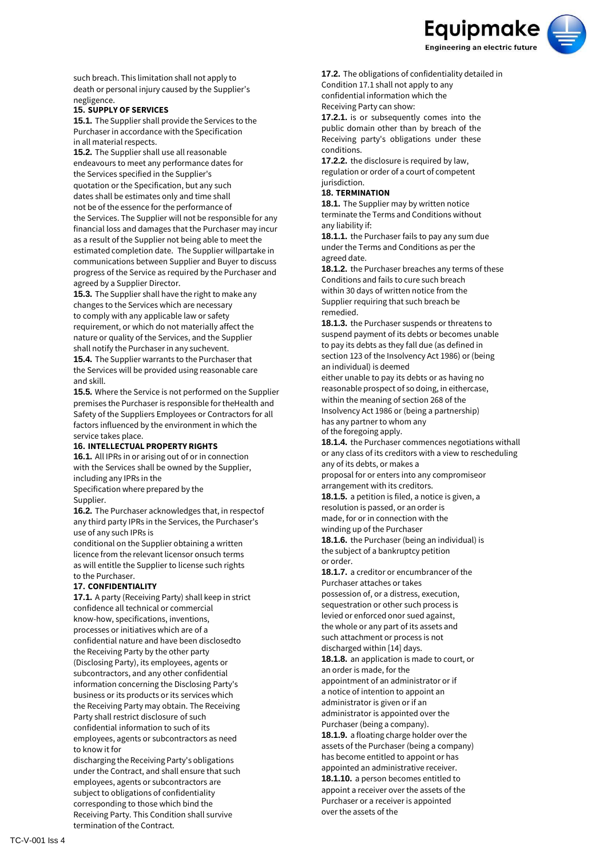

such breach. This limitation shall not apply to death or personal injury caused by the Supplier's negligence.

## **15. SUPPLY OF SERVICES**

**15.1.** The Supplier shall provide the Services to the Purchaser in accordance with the Specification in all material respects.

**15.2.** The Supplier shall use all reasonable endeavours to meet any performance dates for the Services specified in the Supplier's quotation or the Specification, but any such dates shall be estimates only and time shall not be of the essence for the performance of the Services. The Supplier will not be responsible for any financial loss and damages that the Purchaser may incur as a result of the Supplier not being able to meet the estimated completion date. The Supplier willpartake in communications between Supplier and Buyer to discuss progress of the Service as required by the Purchaser and agreed by a Supplier Director.

**15.3.** The Supplier shall have the right to make any changes to the Services which are necessary to comply with any applicable law or safety requirement, or which do not materially affect the nature or quality of the Services, and the Supplier shall notify the Purchaser in any suchevent.

**15.4.** The Supplier warrants to the Purchaser that the Services will be provided using reasonable care and skill.

**15.5.** Where the Service is not performed on the Supplier premises the Purchaser is responsible for theHealth and Safety of the Suppliers Employees or Contractors for all factors influenced by the environment in which the service takes place.

#### **16. INTELLECTUAL PROPERTY RIGHTS**

**16.1.** All IPRs in or arising out of or in connection with the Services shall be owned by the Supplier, including any IPRs in the Specification where prepared by the

#### Supplier.

**16.2.** The Purchaser acknowledges that, in respectof any third party IPRs in the Services, the Purchaser's use of any such IPRs is

conditional on the Supplier obtaining a written licence from the relevant licensor onsuch terms as will entitle the Supplier to license such rights to the Purchaser.

#### **17. CONFIDENTIALITY**

**17.1.** A party (Receiving Party) shall keep in strict confidence all technical or commercial know-how, specifications, inventions, processes or initiatives which are of a confidential nature and have been disclosedto the Receiving Party by the other party (Disclosing Party), its employees, agents or subcontractors, and any other confidential information concerning the Disclosing Party's business or its products or its services which the Receiving Party may obtain. The Receiving Party shall restrict disclosure of such confidential information to such of its employees, agents or subcontractors as need to know it for

discharging the Receiving Party's obligations under the Contract, and shall ensure that such employees, agents or subcontractors are subject to obligations of confidentiality corresponding to those which bind the Receiving Party. This Condition shall survive termination of the Contract.

**17.2.** The obligations of confidentiality detailed in Condition 17.1 shall not apply to any confidential information which the Receiving Party can show:

**17.2.1.** is or subsequently comes into the public domain other than by breach of the Receiving party's obligations under these conditions.

**17.2.2.** the disclosure is required by law, regulation or order of a court of competent jurisdiction.

## **18. TERMINATION**

**18.1.** The Supplier may by written notice terminate the Terms and Conditions without any liability if:

**18.1.1.** the Purchaser fails to pay any sum due under the Terms and Conditions as per the agreed date.

**18.1.2.** the Purchaser breaches any terms of these Conditions and fails to cure such breach within 30 days of written notice from the Supplier requiring that such breach be remedied.

**18.1.3.** the Purchaser suspends or threatens to suspend payment of its debts or becomes unable to pay its debts as they fall due (as defined in section 123 of the Insolvency Act 1986) or (being an individual) is deemed

either unable to pay its debts or as having no reasonable prospect of so doing, in eithercase, within the meaning of section 268 of the Insolvency Act 1986 or (being a partnership) has any partner to whom any

of the foregoing apply.

**18.1.4.** the Purchaser commences negotiations withall or any class of its creditors with a view to rescheduling any of its debts, or makes a

proposal for or enters into any compromiseor arrangement with its creditors.

**18.1.5.** a petition is filed, a notice is given, a resolution is passed, or an order is made, for or in connection with the winding up of the Purchaser

**18.1.6.** the Purchaser (being an individual) is the subject of a bankruptcy petition or order.

**18.1.7.** a creditor or encumbrancer of the Purchaser attaches or takes possession of, or a distress, execution, sequestration or other such process is levied or enforced onor sued against, the whole or any part of its assets and such attachment or process is not discharged within [14] days.

**18.1.8.** an application is made to court, or an order is made, for the appointment of an administrator or if a notice of intention to appoint an administrator is given or if an administrator is appointed over the Purchaser (being a company). **18.1.9.** a floating charge holder over the assets of the Purchaser (being a company) has become entitled to appoint or has appointed an administrative receiver. **18.1.10.** a person becomes entitled to appoint a receiver over the assets of the Purchaser or a receiver is appointed

over the assets of the